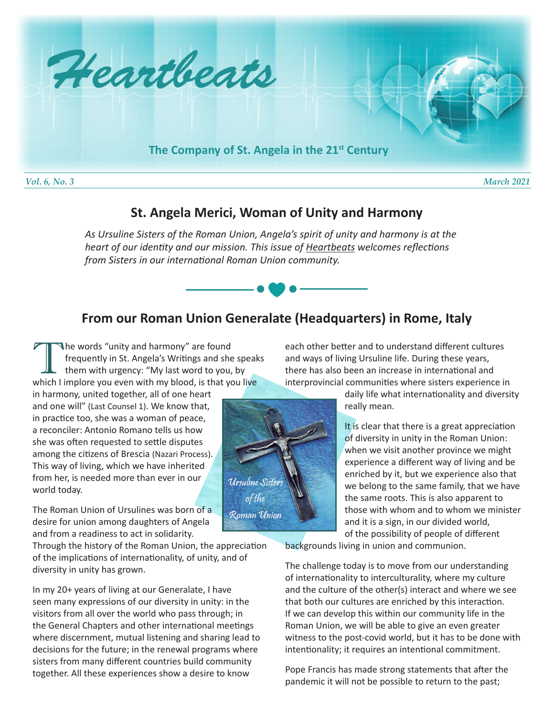

## **St. Angela Merici, Woman of Unity and Harmony**

*As Ursuline Sisters of the Roman Union, Angela's spirit of unity and harmony is at the heart of our identity and our mission. This issue of Heartbeats welcomes reflections from Sisters in our international Roman Union community.*

## **From our Roman Union Generalate (Headquarters) in Rome, Italy**

The words "unity and harmony" are found<br>frequently in St. Angela's Writings and she<br>them with urgency: "My last word to you, frequently in St. Angela's Writings and she speaks them with urgency: "My last word to you, by which I implore you even with my blood, is that you live

in harmony, united together, all of one heart and one will" (Last Counsel 1). We know that, in practice too, she was a woman of peace, a reconciler: Antonio Romano tells us how she was often requested to settle disputes among the citizens of Brescia (Nazari Process). This way of living, which we have inherited from her, is needed more than ever in our world today.

The Roman Union of Ursulines was born of a desire for union among daughters of Angela and from a readiness to act in solidarity.

Through the history of the Roman Union, the appreciation of the implications of internationality, of unity, and of diversity in unity has grown.

In my 20+ years of living at our Generalate, I have seen many expressions of our diversity in unity: in the visitors from all over the world who pass through; in the General Chapters and other international meetings where discernment, mutual listening and sharing lead to decisions for the future; in the renewal programs where sisters from many different countries build community together. All these experiences show a desire to know

each other better and to understand different cultures and ways of living Ursuline life. During these years, there has also been an increase in international and interprovincial communities where sisters experience in

> daily life what internationality and diversity really mean.

It is clear that there is a great appreciation of diversity in unity in the Roman Union: when we visit another province we might experience a different way of living and be enriched by it, but we experience also that we belong to the same family, that we have the same roots. This is also apparent to those with whom and to whom we minister and it is a sign, in our divided world, of the possibility of people of different

backgrounds living in union and communion.

The challenge today is to move from our understanding of internationality to interculturality, where my culture and the culture of the other(s) interact and where we see that both our cultures are enriched by this interaction. If we can develop this within our community life in the Roman Union, we will be able to give an even greater witness to the post-covid world, but it has to be done with intentionality; it requires an intentional commitment.

Pope Francis has made strong statements that after the pandemic it will not be possible to return to the past;